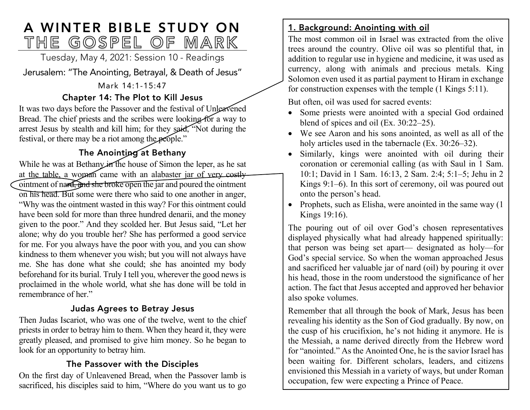# A WINTER BIBLE STUDY ON<br>THE GOSPEL OF MARK

Tuesday, May 4, 2021: Session 10 - Readings

Jerusalem: "The Anointing, Betrayal, & Death of Jesus"

#### Mark 14:1-15:47

## Chapter 14: The Plot to Kill Jesus

It was two days before the Passover and the festival of Unleavened Bread. The chief priests and the scribes were looking for a way to arrest Jesus by stealth and kill him; for they said, "Not during the festival, or there may be a riot among the people."

# The Anointing at Bethany

While he was at Bethany in the house of Simon the leper, as he sat at the table, a woman came with an alabaster jar of very costly ointment of nard, and she broke open the jar and poured the ointment on his head. But some were there who said to one another in anger, "Why was the ointment wasted in this way? For this ointment could have been sold for more than three hundred denarii, and the money given to the poor." And they scolded her. But Jesus said, "Let her alone; why do you trouble her? She has performed a good service for me. For you always have the poor with you, and you can show kindness to them whenever you wish; but you will not always have me. She has done what she could; she has anointed my body beforehand for its burial. Truly I tell you, wherever the good news is proclaimed in the whole world, what she has done will be told in remembrance of her."

## Judas Agrees to Betray Jesus

Then Judas Iscariot, who was one of the twelve, went to the chief priests in order to betray him to them. When they heard it, they were greatly pleased, and promised to give him money. So he began to look for an opportunity to betray him.

# The Passover with the Disciples

On the first day of Unleavened Bread, when the Passover lamb is sacrificed, his disciples said to him, "Where do you want us to go

# 1. Background: Anointing with oil

The most common oil in Israel was extracted from the olive trees around the country. Olive oil was so plentiful that, in addition to regular use in hygiene and medicine, it was used as currency, along with animals and precious metals. King Solomon even used it as partial payment to Hiram in exchange for construction expenses with the temple (1 Kings 5:11).

But often, oil was used for sacred events:

- Some priests were anointed with a special God ordained blend of spices and oil (Ex. 30:22–25).
- We see Aaron and his sons anointed, as well as all of the holy articles used in the tabernacle (Ex. 30:26–32).
- Similarly, kings were anointed with oil during their coronation or ceremonial calling (as with Saul in 1 Sam. 10:1; David in 1 Sam. 16:13, 2 Sam. 2:4; 5:1–5; Jehu in 2 Kings 9:1–6). In this sort of ceremony, oil was poured out onto the person's head.
- Prophets, such as Elisha, were anointed in the same way (1) Kings 19:16).

The pouring out of oil over God's chosen representatives displayed physically what had already happened spiritually: that person was being set apart— designated as holy—for God's special service. So when the woman approached Jesus and sacrificed her valuable jar of nard (oil) by pouring it over his head, those in the room understood the significance of her action. The fact that Jesus accepted and approved her behavior also spoke volumes.

Remember that all through the book of Mark, Jesus has been revealing his identity as the Son of God gradually. By now, on the cusp of his crucifixion, he's not hiding it anymore. He is the Messiah, a name derived directly from the Hebrew word for "anointed." As the Anointed One, he is the savior Israel has been waiting for. Different scholars, leaders, and citizens envisioned this Messiah in a variety of ways, but under Roman occupation, few were expecting a Prince of Peace.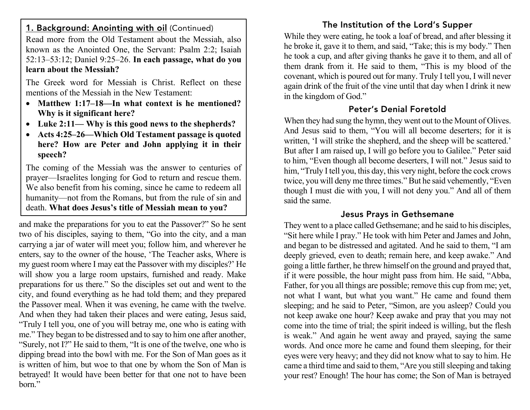1. Background: Anointing with oil (Continued)

Read more from the Old Testament about the Messiah, also known as the Anointed One, the Servant: Psalm 2:2; Isaiah 52:13–53:12; Daniel 9:25–26. **In each passage, what do you learn about the Messiah?**

The Greek word for Messiah is Christ. Reflect on these mentions of the Messiah in the New Testament:

- **Matthew 1:17–18—In what context is he mentioned? Why is it significant here?**
- **Luke 2:11— Why is this good news to the shepherds?**
- **Acts 4:25–26—Which Old Testament passage is quoted here? How are Peter and John applying it in their speech?**

The coming of the Messiah was the answer to centuries of prayer—Israelites longing for God to return and rescue them. We also benefit from his coming, since he came to redeem all humanity—not from the Romans, but from the rule of sin and death. **What does Jesus's title of Messiah mean to you?**

and make the preparations for you to eat the Passover?" So he sent two of his disciples, saying to them, "Go into the city, and a man carrying a jar of water will meet you; follow him, and wherever he enters, say to the owner of the house, 'The Teacher asks, Where is my guest room where I may eat the Passover with my disciples?' He will show you a large room upstairs, furnished and ready. Make preparations for us there." So the disciples set out and went to the city, and found everything as he had told them; and they prepared the Passover meal. When it was evening, he came with the twelve. And when they had taken their places and were eating, Jesus said, "Truly I tell you, one of you will betray me, one who is eating with me." They began to be distressed and to say to him one after another, "Surely, not I?" He said to them, "It is one of the twelve, one who is dipping bread into the bowl with me. For the Son of Man goes as it is written of him, but woe to that one by whom the Son of Man is betrayed! It would have been better for that one not to have been born."

# The Institution of the Lord's Supper

While they were eating, he took a loaf of bread, and after blessing it he broke it, gave it to them, and said, "Take; this is my body." Then he took a cup, and after giving thanks he gave it to them, and all of them drank from it. He said to them, "This is my blood of the covenant, which is poured out for many. Truly I tell you, I will never again drink of the fruit of the vine until that day when I drink it new in the kingdom of God."

## Peter's Denial Foretold

When they had sung the hymn, they went out to the Mount of Olives. And Jesus said to them, "You will all become deserters; for it is written, 'I will strike the shepherd, and the sheep will be scattered.' But after I am raised up, I will go before you to Galilee." Peter said to him, "Even though all become deserters, I will not." Jesus said to him, "Truly I tell you, this day, this very night, before the cock crows twice, you will deny me three times." But he said vehemently, "Even though I must die with you, I will not deny you." And all of them said the same.

## Jesus Prays in Gethsemane

They went to a place called Gethsemane; and he said to his disciples, "Sit here while I pray." He took with him Peter and James and John, and began to be distressed and agitated. And he said to them, "I am deeply grieved, even to death; remain here, and keep awake." And going a little farther, he threw himself on the ground and prayed that, if it were possible, the hour might pass from him. He said, "Abba, Father, for you all things are possible; remove this cup from me; yet, not what I want, but what you want." He came and found them sleeping; and he said to Peter, "Simon, are you asleep? Could you not keep awake one hour? Keep awake and pray that you may not come into the time of trial; the spirit indeed is willing, but the flesh is weak." And again he went away and prayed, saying the same words. And once more he came and found them sleeping, for their eyes were very heavy; and they did not know what to say to him. He came a third time and said to them, "Are you still sleeping and taking your rest? Enough! The hour has come; the Son of Man is betrayed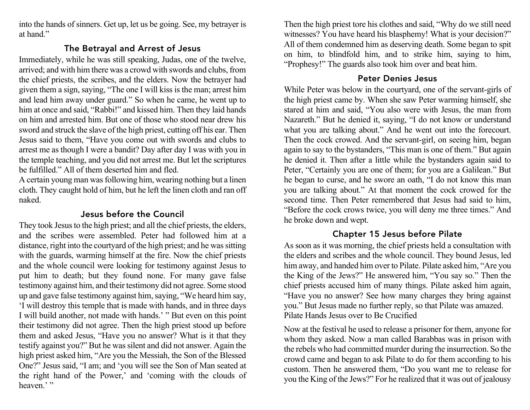into the hands of sinners. Get up, let us be going. See, my betrayer is at hand."

#### The Betrayal and Arrest of Jesus

Immediately, while he was still speaking, Judas, one of the twelve, arrived; and with him there was a crowd with swords and clubs, from the chief priests, the scribes, and the elders. Now the betrayer had given them a sign, saying, "The one I will kiss is the man; arrest him and lead him away under guard." So when he came, he went up to him at once and said, "Rabbi!" and kissed him. Then they laid hands on him and arrested him. But one of those who stood near drew his sword and struck the slave of the high priest, cutting off his ear. Then Jesus said to them, "Have you come out with swords and clubs to arrest me as though I were a bandit? Day after day I was with you in the temple teaching, and you did not arrest me. But let the scriptures be fulfilled." All of them deserted him and fled.

A certain young man was following him, wearing nothing but a linen cloth. They caught hold of him, but he left the linen cloth and ran off naked.

## Jesus before the Council

They took Jesus to the high priest; and all the chief priests, the elders, and the scribes were assembled. Peter had followed him at a distance, right into the courtyard of the high priest; and he was sitting with the guards, warming himself at the fire. Now the chief priests and the whole council were looking for testimony against Jesus to put him to death; but they found none. For many gave false testimony against him, and their testimony did not agree. Some stood up and gave false testimony against him, saying, "We heard him say, 'I will destroy this temple that is made with hands, and in three days I will build another, not made with hands.' " But even on this point their testimony did not agree. Then the high priest stood up before them and asked Jesus, "Have you no answer? What is it that they testify against you?" But he was silent and did not answer. Again the high priest asked him, "Are you the Messiah, the Son of the Blessed One?" Jesus said, "I am; and 'you will see the Son of Man seated at the right hand of the Power,' and 'coming with the clouds of heaven.'"

Then the high priest tore his clothes and said, "Why do we still need witnesses? You have heard his blasphemy! What is your decision?" All of them condemned him as deserving death. Some began to spit on him, to blindfold him, and to strike him, saying to him, "Prophesy!" The guards also took him over and beat him.

#### Peter Denies Jesus

While Peter was below in the courtyard, one of the servant-girls of the high priest came by. When she saw Peter warming himself, she stared at him and said, "You also were with Jesus, the man from Nazareth." But he denied it, saying, "I do not know or understand what you are talking about." And he went out into the forecourt. Then the cock crowed. And the servant-girl, on seeing him, began again to say to the bystanders, "This man is one of them." But again he denied it. Then after a little while the bystanders again said to Peter, "Certainly you are one of them; for you are a Galilean." But he began to curse, and he swore an oath, "I do not know this man you are talking about." At that moment the cock crowed for the second time. Then Peter remembered that Jesus had said to him, "Before the cock crows twice, you will deny me three times." And he broke down and wept.

#### Chapter 15 Jesus before Pilate

As soon as it was morning, the chief priests held a consultation with the elders and scribes and the whole council. They bound Jesus, led him away, and handed him over to Pilate. Pilate asked him, "Are you the King of the Jews?" He answered him, "You say so." Then the chief priests accused him of many things. Pilate asked him again, "Have you no answer? See how many charges they bring against you." But Jesus made no further reply, so that Pilate was amazed. Pilate Hands Jesus over to Be Crucified

Now at the festival he used to release a prisoner for them, anyone for whom they asked. Now a man called Barabbas was in prison with the rebels who had committed murder during the insurrection. So the crowd came and began to ask Pilate to do for them according to his custom. Then he answered them, "Do you want me to release for you the King of the Jews?" For he realized that it was out of jealousy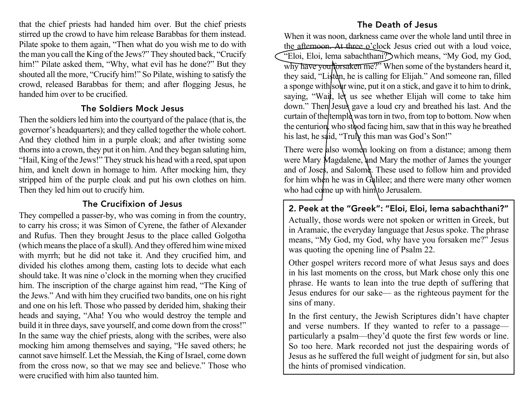that the chief priests had handed him over. But the chief priests stirred up the crowd to have him release Barabbas for them instead. Pilate spoke to them again, "Then what do you wish me to do with the man you call the King of the Jews?" They shouted back, "Crucify him!" Pilate asked them, "Why, what evil has he done?" But they shouted all the more, "Crucify him!" So Pilate, wishing to satisfy the crowd, released Barabbas for them; and after flogging Jesus, he handed him over to be crucified.

#### The Soldiers Mock Jesus

Then the soldiers led him into the courtyard of the palace (that is, the governor's headquarters); and they called together the whole cohort. And they clothed him in a purple cloak; and after twisting some thorns into a crown, they put it on him. And they began saluting him, "Hail, King of the Jews!" They struck his head with a reed, spat upon him, and knelt down in homage to him. After mocking him, they stripped him of the purple cloak and put his own clothes on him. Then they led him out to crucify him.

# The Crucifixion of Jesus

They compelled a passer-by, who was coming in from the country, to carry his cross; it was Simon of Cyrene, the father of Alexander and Rufus. Then they brought Jesus to the place called Golgotha (which means the place of a skull). And they offered him wine mixed with myrrh; but he did not take it. And they crucified him, and divided his clothes among them, casting lots to decide what each should take. It was nine o'clock in the morning when they crucified him. The inscription of the charge against him read, "The King of the Jews." And with him they crucified two bandits, one on his right and one on his left. Those who passed by derided him, shaking their heads and saying, "Aha! You who would destroy the temple and build it in three days, save yourself, and come down from the cross!" In the same way the chief priests, along with the scribes, were also mocking him among themselves and saying, "He saved others; he cannot save himself. Let the Messiah, the King of Israel, come down from the cross now, so that we may see and believe." Those who were crucified with him also taunted him.

# The Death of Jesus

When it was noon, darkness came over the whole land until three in the afternoon. At three o'clock Jesus cried out with a loud voice, "Eloi, Eloi, lema sabachthani?" which means, "My God, my God, why have you for saken me?" When some of the bystanders heard it, they said, "Listen, he is calling for Elijah." And someone ran, filled a sponge with sour wine, put it on a stick, and gave it to him to drink, saying, "Wait, let us see whether Elijah will come to take him down." Then Jesus gave a loud cry and breathed his last. And the curtain of the temple was torn in two, from top to bottom. Now when the centurion, who stood facing him, saw that in this way he breathed his last, he said, "Truly this man was God's Son!"

There were also women looking on from a distance; among them were Mary Magdalene, and Mary the mother of James the younger and of Joses, and Salome. These used to follow him and provided for him when he was in Galilee; and there were many other women who had come up with him to Jerusalem.

# 2. Peek at the "Greek": "Eloi, Eloi, lema sabachthani?"

Actually, those words were not spoken or written in Greek, but in Aramaic, the everyday language that Jesus spoke. The phrase means, "My God, my God, why have you forsaken me?" Jesus was quoting the opening line of Psalm 22.

Other gospel writers record more of what Jesus says and does in his last moments on the cross, but Mark chose only this one phrase. He wants to lean into the true depth of suffering that Jesus endures for our sake— as the righteous payment for the sins of many.

In the first century, the Jewish Scriptures didn't have chapter and verse numbers. If they wanted to refer to a passage particularly a psalm—they'd quote the first few words or line. So too here. Mark recorded not just the despairing words of Jesus as he suffered the full weight of judgment for sin, but also the hints of promised vindication.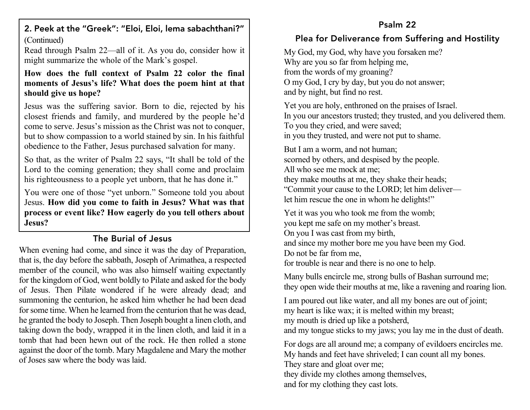# 2. Peek at the "Greek": "Eloi, Eloi, lema sabachthani?" (Continued)

Read through Psalm 22—all of it. As you do, consider how it might summarize the whole of the Mark's gospel.

#### **How does the full context of Psalm 22 color the final moments of Jesus's life? What does the poem hint at that should give us hope?**

Jesus was the suffering savior. Born to die, rejected by his closest friends and family, and murdered by the people he'd come to serve. Jesus's mission as the Christ was not to conquer, but to show compassion to a world stained by sin. In his faithful obedience to the Father, Jesus purchased salvation for many.

So that, as the writer of Psalm 22 says, "It shall be told of the Lord to the coming generation; they shall come and proclaim his righteousness to a people yet unborn, that he has done it."

You were one of those "yet unborn." Someone told you about Jesus. **How did you come to faith in Jesus? What was that process or event like? How eagerly do you tell others about Jesus?**

# The Burial of Jesus

When evening had come, and since it was the day of Preparation, that is, the day before the sabbath, Joseph of Arimathea, a respected member of the council, who was also himself waiting expectantly for the kingdom of God, went boldly to Pilate and asked for the body of Jesus. Then Pilate wondered if he were already dead; and summoning the centurion, he asked him whether he had been dead for some time. When he learned from the centurion that he was dead, he granted the body to Joseph. Then Joseph bought a linen cloth, and taking down the body, wrapped it in the linen cloth, and laid it in a tomb that had been hewn out of the rock. He then rolled a stone against the door of the tomb. Mary Magdalene and Mary the mother of Joses saw where the body was laid.

# Psalm 22

# Plea for Deliverance from Suffering and Hostility

My God, my God, why have you forsaken me? Why are you so far from helping me, from the words of my groaning? O my God, I cry by day, but you do not answer; and by night, but find no rest.

Yet you are holy, enthroned on the praises of Israel. In you our ancestors trusted; they trusted, and you delivered them. To you they cried, and were saved; in you they trusted, and were not put to shame.

But I am a worm, and not human; scorned by others, and despised by the people. All who see me mock at me; they make mouths at me, they shake their heads; "Commit your cause to the LORD; let him deliver let him rescue the one in whom he delights!"

Yet it was you who took me from the womb; you kept me safe on my mother's breast. On you I was cast from my birth, and since my mother bore me you have been my God. Do not be far from me, for trouble is near and there is no one to help.

Many bulls encircle me, strong bulls of Bashan surround me; they open wide their mouths at me, like a ravening and roaring lion.

I am poured out like water, and all my bones are out of joint; my heart is like wax; it is melted within my breast; my mouth is dried up like a potsherd,

and my tongue sticks to my jaws; you lay me in the dust of death.

For dogs are all around me; a company of evildoers encircles me. My hands and feet have shriveled; I can count all my bones. They stare and gloat over me; they divide my clothes among themselves, and for my clothing they cast lots.